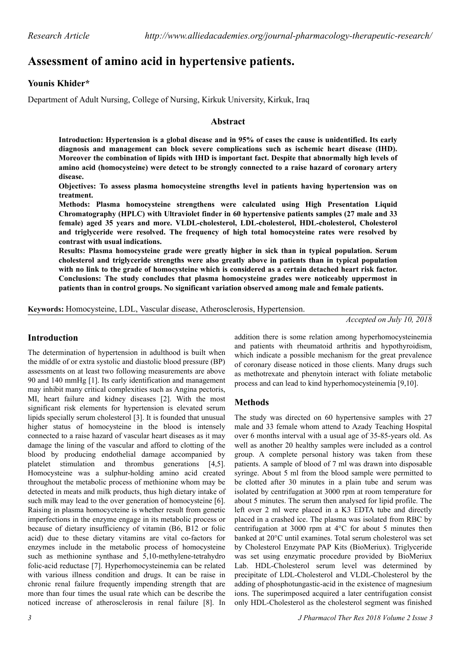# **Assessment of amino acid in hypertensive patients.**

## **Younis Khider\***

Department of Adult Nursing, College of Nursing, Kirkuk University, Kirkuk, Iraq

#### **Abstract**

**Introduction: Hypertension is a global disease and in 95% of cases the cause is unidentified. Its early diagnosis and management can block severe complications such as ischemic heart disease (IHD). Moreover the combination of lipids with IHD is important fact. Despite that abnormally high levels of amino acid (homocysteine) were detect to be strongly connected to a raise hazard of coronary artery disease.**

**Objectives: To assess plasma homocysteine strengths level in patients having hypertension was on treatment.**

**Methods: Plasma homocysteine strengthens were calculated using High Presentation Liquid Chromatography (HPLC) with Ultraviolet finder in 60 hypertensive patients samples (27 male and 33 female) aged 35 years and more. VLDL-cholesterol, LDL-cholesterol, HDL-cholesterol, Cholesterol and triglyceride were resolved. The frequency of high total homocysteine rates were resolved by contrast with usual indications.**

**Results: Plasma homocysteine grade were greatly higher in sick than in typical population. Serum cholesterol and triglyceride strengths were also greatly above in patients than in typical population with no link to the grade of homocysteine which is considered as a certain detached heart risk factor. Conclusions: The study concludes that plasma homocysteine grades were noticeably uppermost in patients than in control groups. No significant variation observed among male and female patients.**

**Keywords:** Homocysteine, LDL, Vascular disease, Atherosclerosis, Hypertension.

*Accepted on July 10, 2018*

# **Introduction**

The determination of hypertension in adulthood is built when the middle of or extra systolic and diastolic blood pressure (BP) assessments on at least two following measurements are above 90 and 140 mmHg [1]. Its early identification and management may inhibit many critical complexities such as Angina pectoris, MI, heart failure and kidney diseases [2]. With the most significant risk elements for hypertension is elevated serum lipids specially serum cholesterol [3]. It is founded that unusual higher status of homocysteine in the blood is intensely connected to a raise hazard of vascular heart diseases as it may damage the lining of the vascular and afford to clotting of the blood by producing endothelial damage accompanied by platelet stimulation and thrombus generations [4,5]. Homocysteine was a sulphur-holding amino acid created throughout the metabolic process of methionine whom may be detected in meats and milk products, thus high dietary intake of such milk may lead to the over generation of homocysteine [6]. Raising in plasma homocycteine is whether result from genetic imperfections in the enzyme engage in its metabolic process or because of dietary insufficiency of vitamin (B6, B12 or folic acid) due to these dietary vitamins are vital co-factors for enzymes include in the metabolic process of homocysteine such as methionine synthase and 5,10-methylene-tetrahydro folic-acid reductase [7]. Hyperhomocysteinemia can be related with various illness condition and drugs. It can be raise in chronic renal failure frequently impending strength that are more than four times the usual rate which can be describe the noticed increase of atherosclerosis in renal failure [8]. In

addition there is some relation among hyperhomocysteinemia and patients with rheumatoid arthritis and hypothyroidism, which indicate a possible mechanism for the great prevalence of coronary disease noticed in those clients. Many drugs such as methotrexate and phenytoin interact with foliate metabolic process and can lead to kind hyperhomocysteinemia [9,10].

# **Methods**

The study was directed on 60 hypertensive samples with 27 male and 33 female whom attend to Azady Teaching Hospital over 6 months interval with a usual age of 35-85-years old. As well as another 20 healthy samples were included as a control group. A complete personal history was taken from these patients. A sample of blood of 7 ml was drawn into disposable syringe. About 5 ml from the blood sample were permitted to be clotted after 30 minutes in a plain tube and serum was isolated by centrifugation at 3000 rpm at room temperature for about 5 minutes. The serum then analysed for lipid profile. The left over 2 ml were placed in a K3 EDTA tube and directly placed in a crashed ice. The plasma was isolated from RBC by centrifugation at 3000 rpm at 4°C for about 5 minutes then banked at 20°C until examines. Total serum cholesterol was set by Cholesterol Enzymate PAP Kits (BioMeriux). Triglyceride was set using enzymatic procedure provided by BioMeriux Lab. HDL-Cholesterol serum level was determined by precipitate of LDL-Cholesterol and VLDL-Cholesterol by the adding of phosphotungastic-acid in the existence of magnesium ions. The superimposed acquired a later centrifugation consist only HDL-Cholesterol as the cholesterol segment was finished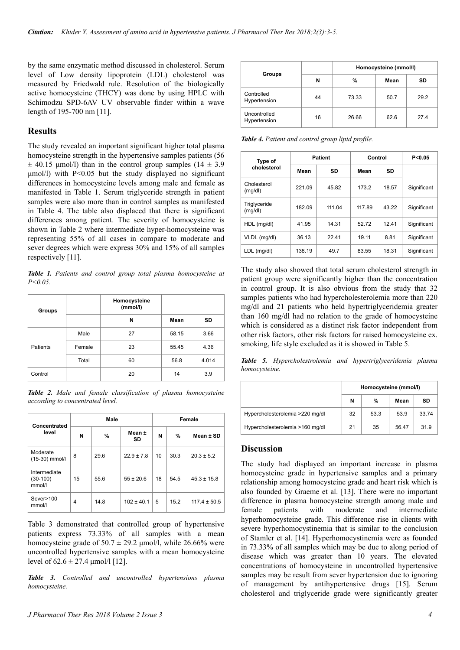by the same enzymatic method discussed in cholesterol. Serum level of Low density lipoprotein (LDL) cholesterol was measured by Friedwald rule. Resolution of the biologically active homocysteine (THCY) was done by using HPLC with Schimodzu SPD-6AV UV observable finder within a wave length of 195-700 nm [11].

### **Results**

The study revealed an important significant higher total plasma homocysteine strength in the hypertensive samples patients (56  $\pm$  40.15 μmol/l) than in the control group samples (14  $\pm$  3.9 μmol/l) with P<0.05 but the study displayed no significant differences in homocysteine levels among male and female as manifested in Table 1. Serum triglyceride strength in patient samples were also more than in control samples as manifested in Table 4. The table also displaced that there is significant differences among patient. The severity of homocysteine is shown in Table 2 where intermediate hyper-homocysteine was representing 55% of all cases in compare to moderate and sever degrees which were express 30% and 15% of all samples respectively [11].

*Table 1. Patients and control group total plasma homocysteine at P<0.05.*

| Groups   |        | Homocysteine<br>(mmol/l) |       |       |
|----------|--------|--------------------------|-------|-------|
|          |        | N                        | Mean  | SD    |
| Patients | Male   | 27                       | 58.15 | 3.66  |
|          | Female | 23                       | 55.45 | 4.36  |
|          | Total  | 60                       | 56.8  | 4.014 |
| Control  |        | 20                       | 14    | 3.9   |

*Table 2. Male and female classification of plasma homocysteine according to concentrated level.*

| Concentrated<br>level                | Male |      |                | Female |      |                  |  |
|--------------------------------------|------|------|----------------|--------|------|------------------|--|
|                                      | N    | %    | Mean ±<br>SD   | N      | $\%$ | Mean ± SD        |  |
| Moderate<br>(15-30) mmol/l           | 8    | 29.6 | $22.9 \pm 7.8$ | 10     | 30.3 | $20.3 \pm 5.2$   |  |
| Intermediate<br>$(30-100)$<br>mmol/l | 15   | 55.6 | $55 \pm 20.6$  | 18     | 54.5 | $45.3 \pm 15.8$  |  |
| Sever>100<br>mmol/l                  | 4    | 14.8 | $102 \pm 40.1$ | 5      | 15.2 | $117.4 \pm 50.5$ |  |

Table 3 demonstrated that controlled group of hypertensive patients express 73.33% of all samples with a mean homocysteine grade of  $50.7 \pm 29.2$  µmol/l, while 26.66% were uncontrolled hypertensive samples with a mean homocysteine level of  $62.6 \pm 27.4 \text{ \mu}$  mol/l [12].

*Table 3. Controlled and uncontrolled hypertensions plasma homocysteine.*

|                              |    | Homocysteine (mmol/l) |      |      |  |
|------------------------------|----|-----------------------|------|------|--|
| <b>Groups</b>                | N  | %                     | Mean | SD   |  |
| Controlled<br>Hypertension   | 44 | 73.33                 | 50.7 | 29.2 |  |
| Uncontrolled<br>Hypertension | 16 | 26.66                 | 62.6 | 27.4 |  |

*Table 4. Patient and control group lipid profile.*

| Type of                 | <b>Patient</b> |        | Control | P < 0.05 |             |
|-------------------------|----------------|--------|---------|----------|-------------|
| cholesterol             | Mean           | SD     | Mean    | SD       |             |
| Cholesterol<br>(mg/dl)  | 221.09         | 45.82  | 173.2   | 18.57    | Significant |
| Triglyceride<br>(mg/dl) | 182.09         | 111.04 | 117.89  | 43.22    | Significant |
| HDL (mg/dl)             | 41.95          | 14.31  | 52.72   | 12.41    | Significant |
| VLDL (mg/dl)            | 36.13          | 22.41  | 19.11   | 8.81     | Significant |
| LDL (mg/dl)             | 138.19         | 49.7   | 83.55   | 18.31    | Significant |

The study also showed that total serum cholesterol strength in patient group were significantly higher than the concentration in control group. It is also obvious from the study that 32 samples patients who had hypercholesterolemia more than 220 mg/dl and 21 patients who held hypertriglyceridemia greater than 160 mg/dl had no relation to the grade of homocysteine which is considered as a distinct risk factor independent from other risk factors, other risk factors for raised homocysteine ex. smoking, life style excluded as it is showed in Table 5.

*Table 5. Hypercholestrolemia and hypertriglyceridemia plasma homocysteine.*

|                                 | Homocysteine (mmol/l) |      |       |       |  |
|---------------------------------|-----------------------|------|-------|-------|--|
|                                 | N                     | %    | Mean  | SD    |  |
| Hypercholesterolemia >220 mg/dl | 32                    | 53.3 | 53.9  | 33.74 |  |
| Hypercholesterolemia >160 mg/dl | 21                    | 35   | 56.47 | 31.9  |  |

#### **Discussion**

The study had displayed an important increase in plasma homocysteine grade in hypertensive samples and a primary relationship among homocysteine grade and heart risk which is also founded by Graeme et al. [13]. There were no important difference in plasma homocysteine strength among male and female patients with moderate and intermediate hyperhomocysteine grade. This difference rise in clients with severe hyperhomocystinemia that is similar to the conclusion of Stamler et al. [14]. Hyperhomocystinemia were as founded in 73.33% of all samples which may be due to along period of disease which was greater than 10 years. The elevated concentrations of homocysteine in uncontrolled hypertensive samples may be result from sever hypertension due to ignoring of management by antihypertensive drugs [15]. Serum cholesterol and triglyceride grade were significantly greater